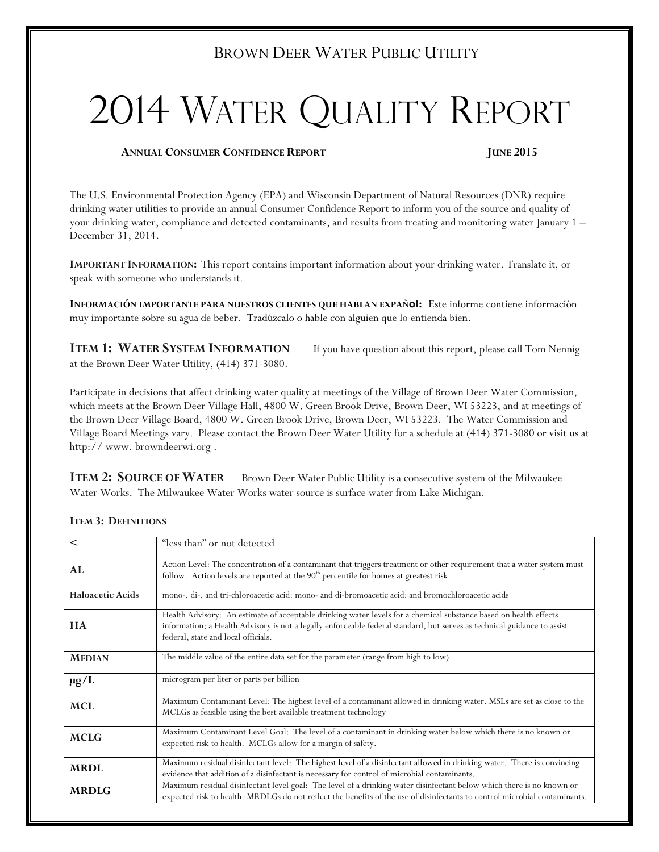## BROWN DEER WATER PUBLIC UTILITY

# 2014 WATER QUALITY REPORT

#### **ANNUAL CONSUMER CONFIDENCE REPORT JUNE 2015**

The U.S. Environmental Protection Agency (EPA) and Wisconsin Department of Natural Resources (DNR) require drinking water utilities to provide an annual Consumer Confidence Report to inform you of the source and quality of your drinking water, compliance and detected contaminants, and results from treating and monitoring water January 1 – December 31, 2014.

**IMPORTANT INFORMATION:** This report contains important information about your drinking water. Translate it, or speak with someone who understands it.

**INFORMACIÓN IMPORTANTE PARA NUESTROS CLIENTES QUE HABLAN EXPAÑol:** Este informe contiene información muy importante sobre su agua de beber. Tradúzcalo o hable con alguien que lo entienda bien.

**ITEM 1: WATER SYSTEM INFORMATION** If you have question about this report, please call Tom Nennig at the Brown Deer Water Utility, (414) 371-3080.

Participate in decisions that affect drinking water quality at meetings of the Village of Brown Deer Water Commission, which meets at the Brown Deer Village Hall, 4800 W. Green Brook Drive, Brown Deer, WI 53223, and at meetings of the Brown Deer Village Board, 4800 W. Green Brook Drive, Brown Deer, WI 53223. The Water Commission and Village Board Meetings vary. Please contact the Brown Deer Water Utility for a schedule at (414) 371-3080 or visit us at http:// www. browndeerwi.org .

**ITEM 2: SOURCE OF WATER** Brown Deer Water Public Utility is a consecutive system of the Milwaukee Water Works. The Milwaukee Water Works water source is surface water from Lake Michigan.

| $\,<\,$                 | "less than" or not detected                                                                                                                                                                                                                                                          |  |  |  |
|-------------------------|--------------------------------------------------------------------------------------------------------------------------------------------------------------------------------------------------------------------------------------------------------------------------------------|--|--|--|
| AL                      | Action Level: The concentration of a contaminant that triggers treatment or other requirement that a water system must<br>follow. Action levels are reported at the 90 <sup>th</sup> percentile for homes at greatest risk.                                                          |  |  |  |
| <b>Haloacetic Acids</b> | mono-, di-, and tri-chloroacetic acid: mono- and di-bromoacetic acid: and bromochloroacetic acids                                                                                                                                                                                    |  |  |  |
| <b>HA</b>               | Health Advisory: An estimate of acceptable drinking water levels for a chemical substance based on health effects<br>information; a Health Advisory is not a legally enforceable federal standard, but serves as technical guidance to assist<br>federal, state and local officials. |  |  |  |
| <b>MEDIAN</b>           | The middle value of the entire data set for the parameter (range from high to low)                                                                                                                                                                                                   |  |  |  |
| $\mu$ g/L               | microgram per liter or parts per billion                                                                                                                                                                                                                                             |  |  |  |
| <b>MCL</b>              | Maximum Contaminant Level: The highest level of a contaminant allowed in drinking water. MSLs are set as close to the<br>MCLGs as feasible using the best available treatment technology                                                                                             |  |  |  |
| <b>MCLG</b>             | Maximum Contaminant Level Goal: The level of a contaminant in drinking water below which there is no known or<br>expected risk to health. MCLGs allow for a margin of safety.                                                                                                        |  |  |  |
| <b>MRDL</b>             | Maximum residual disinfectant level: The highest level of a disinfectant allowed in drinking water. There is convincing<br>evidence that addition of a disinfectant is necessary for control of microbial contaminants.                                                              |  |  |  |
| <b>MRDLG</b>            | Maximum residual disinfectant level goal: The level of a drinking water disinfectant below which there is no known or<br>expected risk to health. MRDLGs do not reflect the benefits of the use of disinfectants to control microbial contaminants.                                  |  |  |  |

#### **ITEM 3: DEFINITIONS**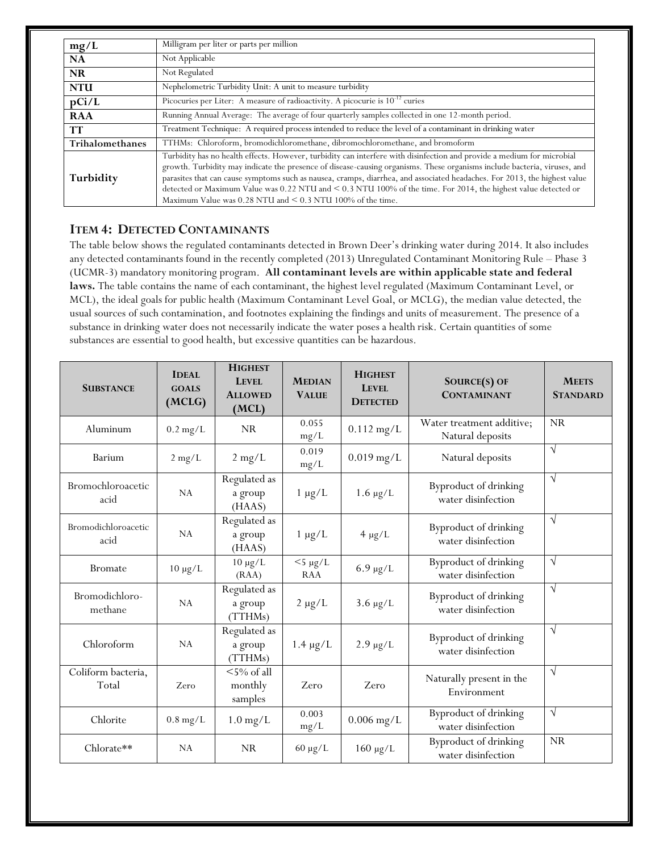| mg/L                   | Milligram per liter or parts per million                                                                                                                                                                                                                                                                                                                                                                                                                                                                                                                               |  |  |  |
|------------------------|------------------------------------------------------------------------------------------------------------------------------------------------------------------------------------------------------------------------------------------------------------------------------------------------------------------------------------------------------------------------------------------------------------------------------------------------------------------------------------------------------------------------------------------------------------------------|--|--|--|
| NA                     | Not Applicable                                                                                                                                                                                                                                                                                                                                                                                                                                                                                                                                                         |  |  |  |
| <b>NR</b>              | Not Regulated                                                                                                                                                                                                                                                                                                                                                                                                                                                                                                                                                          |  |  |  |
| <b>NTU</b>             | Nephelometric Turbidity Unit: A unit to measure turbidity                                                                                                                                                                                                                                                                                                                                                                                                                                                                                                              |  |  |  |
| pCi/L                  | Picocuries per Liter: A measure of radioactivity. A picocurie is $10^{-12}$ curies                                                                                                                                                                                                                                                                                                                                                                                                                                                                                     |  |  |  |
| <b>RAA</b>             | Running Annual Average: The average of four quarterly samples collected in one 12-month period.                                                                                                                                                                                                                                                                                                                                                                                                                                                                        |  |  |  |
| <b>TT</b>              | Treatment Technique: A required process intended to reduce the level of a contaminant in drinking water                                                                                                                                                                                                                                                                                                                                                                                                                                                                |  |  |  |
| <b>Trihalomethanes</b> | TTHMs: Chloroform, bromodichloromethane, dibromochloromethane, and bromoform                                                                                                                                                                                                                                                                                                                                                                                                                                                                                           |  |  |  |
| Turbidity              | Turbidity has no health effects. However, turbidity can interfere with disinfection and provide a medium for microbial<br>growth. Turbidity may indicate the presence of disease-causing organisms. These organisms include bacteria, viruses, and<br>parasites that can cause symptoms such as nausea, cramps, diarrhea, and associated headaches. For 2013, the highest value<br>detected or Maximum Value was 0.22 NTU and < 0.3 NTU 100% of the time. For 2014, the highest value detected or<br>Maximum Value was $0.28$ NTU and $\leq 0.3$ NTU 100% of the time. |  |  |  |

#### **ITEM 4: DETECTED CONTAMINANTS**

The table below shows the regulated contaminants detected in Brown Deer's drinking water during 2014. It also includes any detected contaminants found in the recently completed (2013) Unregulated Contaminant Monitoring Rule – Phase 3 (UCMR-3) mandatory monitoring program. **All contaminant levels are within applicable state and federal laws.** The table contains the name of each contaminant, the highest level regulated (Maximum Contaminant Level, or MCL), the ideal goals for public health (Maximum Contaminant Level Goal, or MCLG), the median value detected, the usual sources of such contamination, and footnotes explaining the findings and units of measurement. The presence of a substance in drinking water does not necessarily indicate the water poses a health risk. Certain quantities of some substances are essential to good health, but excessive quantities can be hazardous.

| <b>SUBSTANCE</b>            | <b>IDEAL</b><br><b>GOALS</b><br>(MCLG) | <b>HIGHEST</b><br>LEVEL<br><b>ALLOWED</b><br>(MCL)    | <b>MEDIAN</b><br><b>VALUE</b> | <b>HIGHEST</b><br>LEVEL<br><b>DETECTED</b> | SOURCE(S) OF<br><b>CONTAMINANT</b>            | <b>MEETS</b><br><b>STANDARD</b> |
|-----------------------------|----------------------------------------|-------------------------------------------------------|-------------------------------|--------------------------------------------|-----------------------------------------------|---------------------------------|
| Aluminum                    | $0.2$ mg/L                             | <b>NR</b>                                             | 0.055<br>mg/L                 | $0.112$ mg/L                               | Water treatment additive;<br>Natural deposits | <b>NR</b>                       |
| Barium                      | $2 \text{ mg/L}$                       | $2 \text{ mg/L}$                                      | 0.019<br>mg/L                 | $0.019$ mg/L                               | Natural deposits                              | $\sqrt{ }$                      |
| Bromochloroacetic<br>acid   | NA                                     | Regulated as<br>a group<br>(HAAS)                     | $1 \mu g/L$                   | $1.6 \mu g/L$                              | Byproduct of drinking<br>water disinfection   | $\sqrt{}$                       |
| Bromodichloroacetic<br>acid | NA                                     | Regulated as<br>a group<br>(HAAS)                     | $1 \mu g/L$                   | $4 \mu g/L$                                | Byproduct of drinking<br>water disinfection   | $\sqrt{ }$                      |
| <b>Bromate</b>              | $10 \mu g/L$                           | $10 \mu g/L$<br>(RAA)                                 | $<$ 5 µg/L<br><b>RAA</b>      | $6.9 \mu g/L$                              | Byproduct of drinking<br>water disinfection   | $\sqrt{ }$                      |
| Bromodichloro-<br>methane   | NA                                     | Regulated as<br>a group<br>(TTHMs)                    | $2 \mu g/L$                   | $3.6 \mu g/L$                              | Byproduct of drinking<br>water disinfection   | $\sqrt{}$                       |
| Chloroform                  | NA                                     | Regulated as<br>a group<br>(TTHMs)                    | $1.4 \mu g/L$                 | $2.9 \mu g/L$                              | Byproduct of drinking<br>water disinfection   | $\sqrt{}$                       |
| Coliform bacteria,<br>Total | Zero                                   | $\overline{5\% \text{ of all}}$<br>monthly<br>samples | Zero                          | Zero                                       | Naturally present in the<br>Environment       | $\sqrt{ }$                      |
| Chlorite                    | $0.8 \text{ mg/L}$                     | $1.0 \,\mathrm{mg/L}$                                 | 0.003<br>mg/L                 | $0.006$ mg/L                               | Byproduct of drinking<br>water disinfection   | $\sqrt{ }$                      |
| Chlorate**                  | NA                                     | <b>NR</b>                                             | $60 \mu g/L$                  | $160 \mu g/L$                              | Byproduct of drinking<br>water disinfection   | <b>NR</b>                       |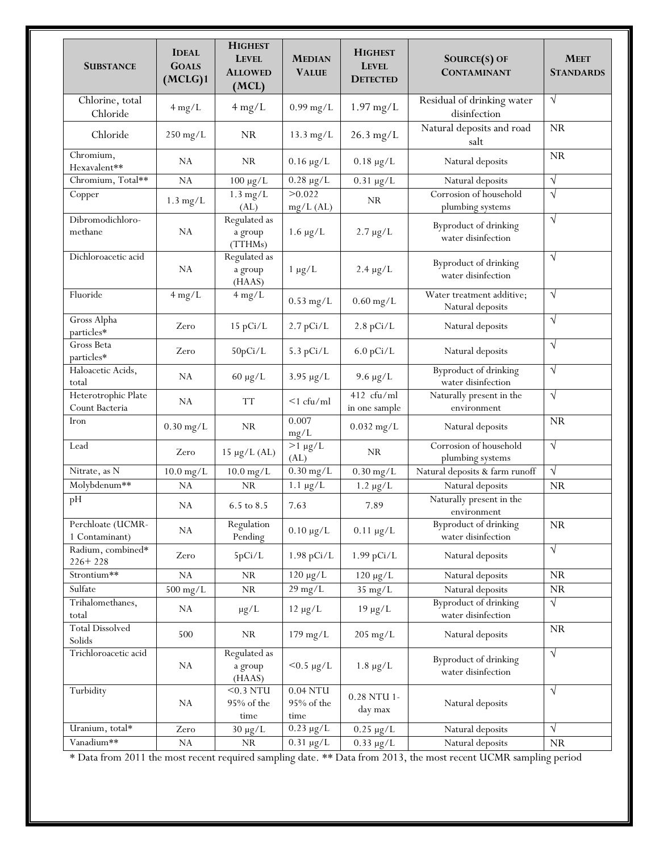| <b>SUBSTANCE</b>                      | <b>IDEAL</b><br><b>GOALS</b><br>(MCLG)1 | <b>HIGHEST</b><br><b>LEVEL</b><br><b>ALLOWED</b><br>(MCL) | <b>MEDIAN</b><br><b>VALUE</b>    | <b>HIGHEST</b><br><b>LEVEL</b><br><b>DETECTED</b> | SOURCE(S) OF<br><b>CONTAMINANT</b>                 | <b>MEET</b><br><b>STANDARDS</b> |
|---------------------------------------|-----------------------------------------|-----------------------------------------------------------|----------------------------------|---------------------------------------------------|----------------------------------------------------|---------------------------------|
| Chlorine, total<br>Chloride           | $4 \text{ mg/L}$                        | $4$ mg/L                                                  | $0.99$ mg/L                      | $1.97$ mg/L                                       | Residual of drinking water<br>disinfection         | $\sqrt{ }$                      |
| Chloride                              | $250$ mg/L                              | <b>NR</b>                                                 | $13.3$ mg/L                      | $26.3$ mg/L                                       | Natural deposits and road<br>salt                  | <b>NR</b>                       |
| Chromium,<br>Hexavalent**             | NA                                      | <b>NR</b>                                                 | $0.16 \mu g/L$                   | $0.18 \mu g/L$                                    | Natural deposits                                   | <b>NR</b>                       |
| Chromium, Total**                     | <b>NA</b>                               | $100 \mu g/L$                                             | $0.28 \mu g/L$                   | $0.31 \mu g/L$                                    | Natural deposits                                   | $\sqrt{ }$                      |
| Copper                                | $1.3$ mg/L                              | $1.3$ mg/L<br>(AL)                                        | >0.022<br>$mg/L$ (AL)            | <b>NR</b>                                         | Corrosion of household<br>plumbing systems         | $\sqrt{}$                       |
| Dibromodichloro-<br>methane           | <b>NA</b>                               | Regulated as<br>a group<br>(TTHMs)                        | $1.6 \mu g/L$                    | $2.7 \mu g/L$                                     | Byproduct of drinking<br>water disinfection        | $\sqrt{ }$                      |
| Dichloroacetic acid                   | <b>NA</b>                               | Regulated as<br>a group<br>(HAAS)                         | $1 \mu g/L$                      | $2.4 \mu g/L$                                     | Byproduct of drinking<br>water disinfection        | $\sqrt{ }$                      |
| Fluoride                              | $4 \text{ mg/L}$                        | $4$ mg/L                                                  | $0.53$ mg/L                      | $0.60$ mg/L                                       | Water treatment additive;<br>Natural deposits      | $\sqrt{ }$                      |
| Gross Alpha<br>particles*             | Zero                                    | 15 pCi/L                                                  | $2.7$ pCi/L                      | $2.8$ pCi/L                                       | Natural deposits                                   | $\sqrt{ }$                      |
| Gross Beta<br>particles*              | Zero                                    | 50pCi/L                                                   | $5.3$ pCi/L                      | $6.0$ pCi/L                                       | Natural deposits                                   | $\sqrt{ }$                      |
| Haloacetic Acids,<br>total            | NA                                      | $60 \mu g/L$                                              | $3.95 \mu g/L$                   | $9.6 \mu g/L$                                     | Byproduct of drinking<br>water disinfection        | $\sqrt{ }$                      |
| Heterotrophic Plate<br>Count Bacteria | <b>NA</b>                               | <b>TT</b>                                                 | $\leq$ 1 cfu/ml                  | 412 cfu/ml<br>in one sample                       | Naturally present in the<br>environment            | $\sqrt{ }$                      |
| Iron                                  | $0.30$ mg/L                             | <b>NR</b>                                                 | 0.007<br>mg/L                    | $0.032$ mg/L                                      | Natural deposits                                   | <b>NR</b>                       |
| Lead                                  | Zero                                    | $15 \mu g/L$ (AL)                                         | $>1 \mu g/L$<br>(AL)             | <b>NR</b>                                         | Corrosion of household<br>plumbing systems         | $\sqrt{ }$                      |
| Nitrate, as N                         | $10.0$ mg/L                             | $10.0$ mg/L                                               | $0.30$ mg/L                      | $0.30$ mg/L                                       | Natural deposits & farm runoff                     | $\sqrt{}$                       |
| Molybdenum**                          | <b>NA</b>                               | ${\rm NR}$                                                | $1.1 \mu g/L$                    | $1.2 \mu g/L$                                     | Natural deposits                                   | <b>NR</b>                       |
| pH                                    | <b>NA</b>                               | 6.5 to 8.5                                                | 7.63                             | 7.89                                              | Naturally present in the<br>environment            |                                 |
| Perchloate (UCMR-<br>1 Contaminant)   | NA                                      | Regulation<br>Pending                                     | $0.10 \mu g/L$                   | $0.11 \mu g/L$                                    | Byproduct of drinking<br>water disinfection        | NR                              |
| Radium, combined*<br>$226 + 228$      | Zero                                    | 5pCi/L                                                    | $1.98$ pCi/L                     | $1.99$ pCi/L                                      | Natural deposits                                   | $\sqrt{ }$                      |
| Strontium**                           | NA                                      | NR                                                        | $120 \mu g/L$                    | $120 \mu g/L$                                     | Natural deposits                                   | NR                              |
| Sulfate                               | $500$ mg/L                              | $\rm NR$                                                  | $29$ mg/L                        | 35 mg/L                                           | Natural deposits                                   | NR                              |
| Trihalomethanes,<br>total             | NA                                      | $\mu$ g/L                                                 | $12 \mu g/L$                     | $19 \mu g/L$                                      | <b>Byproduct of drinking</b><br>water disinfection | $\sqrt{ }$                      |
| <b>Total Dissolved</b><br>Solids      | 500                                     | NR                                                        | $179$ mg/L                       | $205 \text{ mg/L}$                                | Natural deposits                                   | NR                              |
| Trichloroacetic acid                  | ${\rm NA}$                              | Regulated as<br>a group<br>(HAAS)                         | $< 0.5 \mu g/L$                  | $1.8 \mu g/L$                                     | Byproduct of drinking<br>water disinfection        | $\sqrt{}$                       |
| Turbidity                             | NA                                      | $0.3NTU$<br>95% of the<br>time                            | $0.04$ NTU<br>95% of the<br>time | 0.28 NTU 1-<br>day max                            | Natural deposits                                   | $\sqrt{ }$                      |
| Uranium, total*                       | Zero                                    | $30 \mu g/L$                                              | $0.23 \mu g/L$                   | $0.25 \mu g/L$                                    | Natural deposits                                   | $\sqrt{ }$                      |
| Vanadium**                            | ${\rm NA}$                              | NR                                                        | $0.31 \mu g/L$                   | $0.33 \mu g/L$                                    | Natural deposits                                   | NR                              |

\* Data from 2011 the most recent required sampling date. \*\* Data from 2013, the most recent UCMR sampling period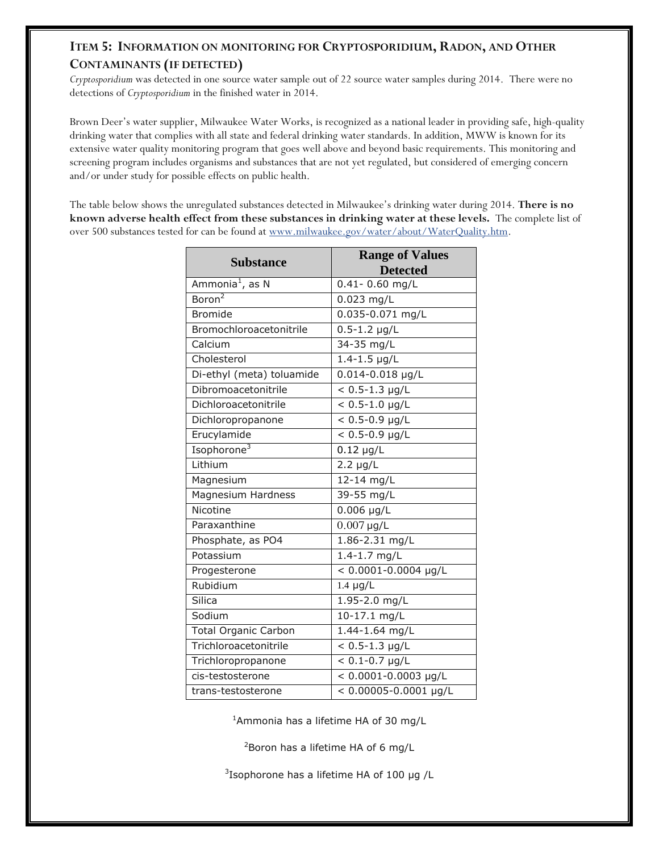### **ITEM 5: INFORMATION ON MONITORING FOR CRYPTOSPORIDIUM, RADON, AND OTHER CONTAMINANTS (IF DETECTED)**

*Cryptosporidium* was detected in one source water sample out of 22 source water samples during 2014. There were no detections of *Cryptosporidium* in the finished water in 2014.

Brown Deer's water supplier, Milwaukee Water Works, is recognized as a national leader in providing safe, high-quality drinking water that complies with all state and federal drinking water standards. In addition, MWW is known for its extensive water quality monitoring program that goes well above and beyond basic requirements. This monitoring and screening program includes organisms and substances that are not yet regulated, but considered of emerging concern and/or under study for possible effects on public health.

The table below shows the unregulated substances detected in Milwaukee's drinking water during 2014. **There is no known adverse health effect from these substances in drinking water at these levels.** The complete list of over 500 substances tested for can be found at [www.milwaukee.gov/water/about/WaterQuality.htm.](http://www.milwaukee.gov/water/about/WaterQuality.htm)

| <b>Substance</b>            | <b>Range of Values</b><br><b>Detected</b> |
|-----------------------------|-------------------------------------------|
| Ammonia <sup>1</sup> , as N | $0.41 - 0.60$ mg/L                        |
| Boron <sup>2</sup>          | $0.023$ mg/L                              |
| <b>Bromide</b>              | $0.035 - 0.071$ mg/L                      |
| Bromochloroacetonitrile     | $0.5 - 1.2$ µg/L                          |
| Calcium                     | 34-35 mg/L                                |
| Cholesterol                 | $1.4 - 1.5$ µg/L                          |
| Di-ethyl (meta) toluamide   | $0.014 - 0.018$ µg/L                      |
| Dibromoacetonitrile         | $< 0.5 - 1.3$ µg/L                        |
| Dichloroacetonitrile        | $< 0.5 - 1.0$ µg/L                        |
| Dichloropropanone           | $< 0.5 - 0.9$ µg/L                        |
| Erucylamide                 | $< 0.5 - 0.9$ µg/L                        |
| Isophorone <sup>3</sup>     | $0.12 \mu g/L$                            |
| Lithium                     | $2.2 \mu g/L$                             |
| Magnesium                   | 12-14 mg/L                                |
| <b>Magnesium Hardness</b>   | 39-55 mg/L                                |
| Nicotine                    | $0.006$ µg/L                              |
| Paraxanthine                | $0.007 \,\mathrm{\upmu g/L}$              |
| Phosphate, as PO4           | 1.86-2.31 mg/L                            |
| Potassium                   | 1.4-1.7 mg/L                              |
| Progesterone                | $< 0.0001 - 0.0004$ µg/L                  |
| Rubidium                    | $1.4 \mu g/L$                             |
| Silica                      | $1.95 - 2.0$ mg/L                         |
| Sodium                      | 10-17.1 mg/L                              |
| <b>Total Organic Carbon</b> | 1.44-1.64 mg/L                            |
| Trichloroacetonitrile       | $< 0.5 - 1.3$ µg/L                        |
| Trichloropropanone          | $< 0.1 - 0.7$ µg/L                        |
| cis-testosterone            | $< 0.0001 - 0.0003$ µg/L                  |
| trans-testosterone          | $< 0.00005 - 0.0001$ µg/L                 |

<sup>1</sup>Ammonia has a lifetime HA of 30 mg/L

<sup>2</sup>Boron has a lifetime HA of 6 mg/L

 $3$ Isophorone has a lifetime HA of 100 µg /L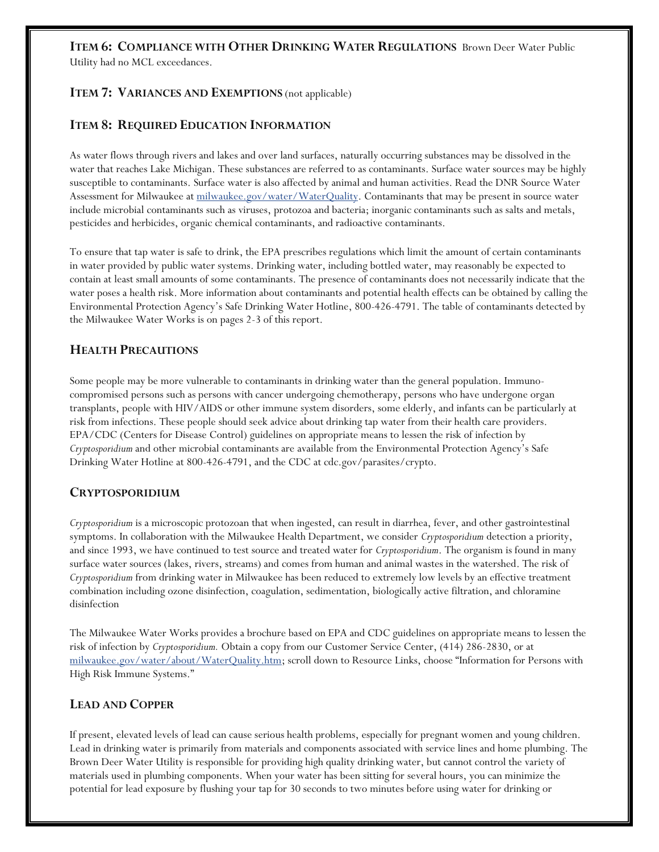#### **ITEM 6: COMPLIANCE WITH OTHER DRINKING WATER REGULATIONS** Brown Deer Water Public Utility had no MCL exceedances.

#### **ITEM 7: VARIANCES AND EXEMPTIONS** (not applicable)

#### **ITEM 8: REQUIRED EDUCATION INFORMATION**

As water flows through rivers and lakes and over land surfaces, naturally occurring substances may be dissolved in the water that reaches Lake Michigan. These substances are referred to as contaminants. Surface water sources may be highly susceptible to contaminants. Surface water is also affected by animal and human activities. Read the DNR Source Water Assessment for Milwaukee at [milwaukee.gov/water/WaterQuality.](http://www.milwaukee.gov/water/about/WaterQuality.htm) Contaminants that may be present in source water include microbial contaminants such as viruses, protozoa and bacteria; inorganic contaminants such as salts and metals, pesticides and herbicides, organic chemical contaminants, and radioactive contaminants.

To ensure that tap water is safe to drink, the EPA prescribes regulations which limit the amount of certain contaminants in water provided by public water systems. Drinking water, including bottled water, may reasonably be expected to contain at least small amounts of some contaminants. The presence of contaminants does not necessarily indicate that the water poses a health risk. More information about contaminants and potential health effects can be obtained by calling the Environmental Protection Agency's Safe Drinking Water Hotline, 800-426-4791. The table of contaminants detected by the Milwaukee Water Works is on pages 2-3 of this report.

#### **HEALTH PRECAUTIONS**

Some people may be more vulnerable to contaminants in drinking water than the general population. Immunocompromised persons such as persons with cancer undergoing chemotherapy, persons who have undergone organ transplants, people with HIV/AIDS or other immune system disorders, some elderly, and infants can be particularly at risk from infections. These people should seek advice about drinking tap water from their health care providers. EPA/CDC (Centers for Disease Control) guidelines on appropriate means to lessen the risk of infection by *Cryptosporidium* and other microbial contaminants are available from the Environmental Protection Agency's Safe Drinking Water Hotline at 800-426-4791, and the CDC at cdc.gov/parasites/crypto.

#### **CRYPTOSPORIDIUM**

*Cryptosporidium* is a microscopic protozoan that when ingested, can result in diarrhea, fever, and other gastrointestinal symptoms. In collaboration with the Milwaukee Health Department, we consider *Cryptosporidium* detection a priority, and since 1993, we have continued to test source and treated water for *Cryptosporidium*. The organism is found in many surface water sources (lakes, rivers, streams) and comes from human and animal wastes in the watershed. The risk of *Cryptosporidium* from drinking water in Milwaukee has been reduced to extremely low levels by an effective treatment combination including ozone disinfection, coagulation, sedimentation, biologically active filtration, and chloramine disinfection

The Milwaukee Water Works provides a brochure based on EPA and CDC guidelines on appropriate means to lessen the risk of infection by *Cryptosporidium.* Obtain a copy from our Customer Service Center, (414) 286-2830, or at [milwaukee.gov/water/about/WaterQuality.htm](http://www.milwaukee.gov/water/about/WaterQuality.htm); scroll down to Resource Links, choose "Information for Persons with High Risk Immune Systems."

#### **LEAD AND COPPER**

If present, elevated levels of lead can cause serious health problems, especially for pregnant women and young children. Lead in drinking water is primarily from materials and components associated with service lines and home plumbing. The Brown Deer Water Utility is responsible for providing high quality drinking water, but cannot control the variety of materials used in plumbing components. When your water has been sitting for several hours, you can minimize the potential for lead exposure by flushing your tap for 30 seconds to two minutes before using water for drinking or